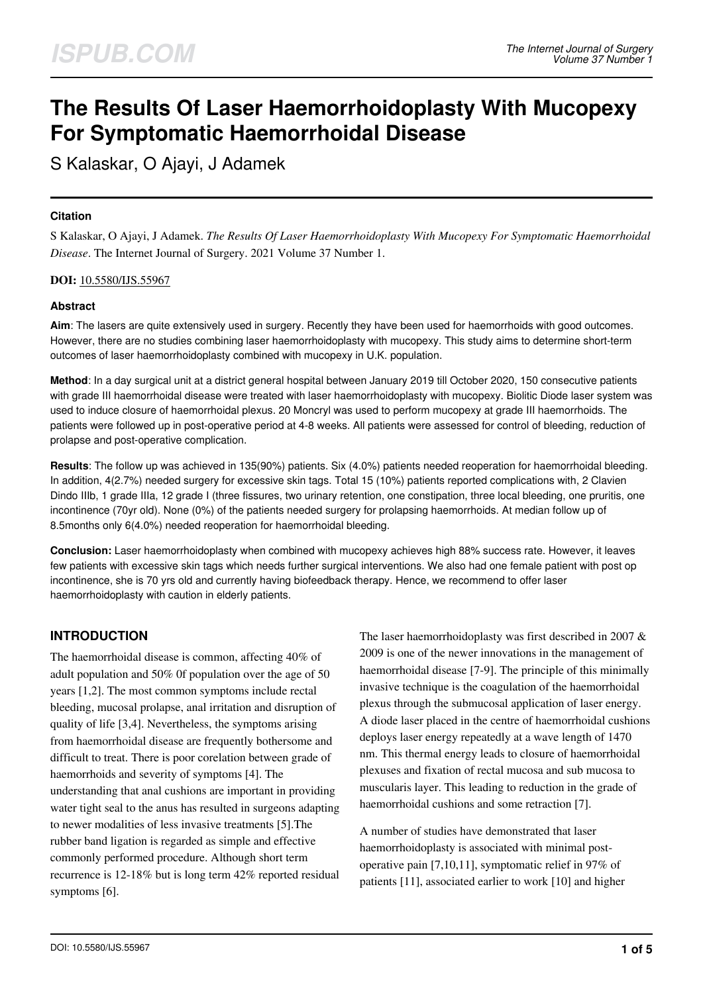# **The Results Of Laser Haemorrhoidoplasty With Mucopexy For Symptomatic Haemorrhoidal Disease**

S Kalaskar, O Ajayi, J Adamek

## **Citation**

S Kalaskar, O Ajayi, J Adamek. *The Results Of Laser Haemorrhoidoplasty With Mucopexy For Symptomatic Haemorrhoidal Disease*. The Internet Journal of Surgery. 2021 Volume 37 Number 1.

**DOI:** [10.5580/IJS.55967](https://ispub.com/doi/10.5580/IJS.55967)

# **Abstract**

**Aim**: The lasers are quite extensively used in surgery. Recently they have been used for haemorrhoids with good outcomes. However, there are no studies combining laser haemorrhoidoplasty with mucopexy. This study aims to determine short-term outcomes of laser haemorrhoidoplasty combined with mucopexy in U.K. population.

**Method**: In a day surgical unit at a district general hospital between January 2019 till October 2020, 150 consecutive patients with grade III haemorrhoidal disease were treated with laser haemorrhoidoplasty with mucopexy. Biolitic Diode laser system was used to induce closure of haemorrhoidal plexus. 20 Moncryl was used to perform mucopexy at grade III haemorrhoids. The patients were followed up in post-operative period at 4-8 weeks. All patients were assessed for control of bleeding, reduction of prolapse and post-operative complication.

**Results**: The follow up was achieved in 135(90%) patients. Six (4.0%) patients needed reoperation for haemorrhoidal bleeding. In addition, 4(2.7%) needed surgery for excessive skin tags. Total 15 (10%) patients reported complications with, 2 Clavien Dindo IIIb, 1 grade IIIa, 12 grade I (three fissures, two urinary retention, one constipation, three local bleeding, one pruritis, one incontinence (70yr old). None (0%) of the patients needed surgery for prolapsing haemorrhoids. At median follow up of 8.5months only 6(4.0%) needed reoperation for haemorrhoidal bleeding.

**Conclusion:** Laser haemorrhoidoplasty when combined with mucopexy achieves high 88% success rate. However, it leaves few patients with excessive skin tags which needs further surgical interventions. We also had one female patient with post op incontinence, she is 70 yrs old and currently having biofeedback therapy. Hence, we recommend to offer laser haemorrhoidoplasty with caution in elderly patients.

# **INTRODUCTION**

The haemorrhoidal disease is common, affecting 40% of adult population and 50% 0f population over the age of 50 years [1,2]. The most common symptoms include rectal bleeding, mucosal prolapse, anal irritation and disruption of quality of life [3,4]. Nevertheless, the symptoms arising from haemorrhoidal disease are frequently bothersome and difficult to treat. There is poor corelation between grade of haemorrhoids and severity of symptoms [4]. The understanding that anal cushions are important in providing water tight seal to the anus has resulted in surgeons adapting to newer modalities of less invasive treatments [5].The rubber band ligation is regarded as simple and effective commonly performed procedure. Although short term recurrence is 12-18% but is long term 42% reported residual symptoms [6].

The laser haemorrhoidoplasty was first described in 2007 & 2009 is one of the newer innovations in the management of haemorrhoidal disease [7-9]. The principle of this minimally invasive technique is the coagulation of the haemorrhoidal plexus through the submucosal application of laser energy. A diode laser placed in the centre of haemorrhoidal cushions deploys laser energy repeatedly at a wave length of 1470 nm. This thermal energy leads to closure of haemorrhoidal plexuses and fixation of rectal mucosa and sub mucosa to muscularis layer. This leading to reduction in the grade of haemorrhoidal cushions and some retraction [7].

A number of studies have demonstrated that laser haemorrhoidoplasty is associated with minimal postoperative pain [7,10,11], symptomatic relief in 97% of patients [11], associated earlier to work [10] and higher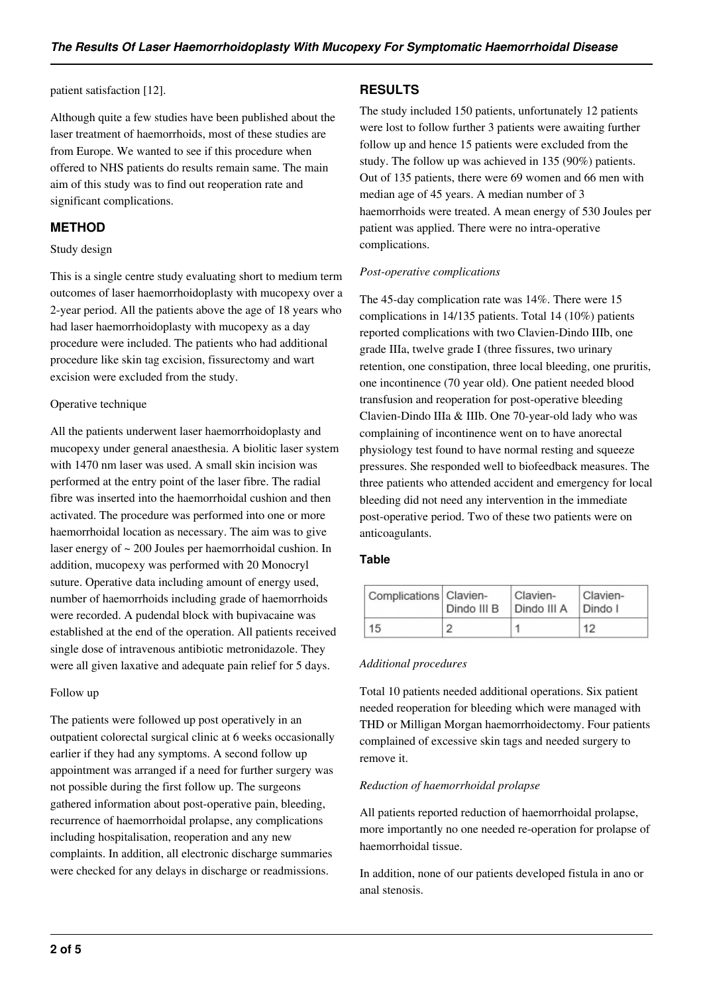patient satisfaction [12].

Although quite a few studies have been published about the laser treatment of haemorrhoids, most of these studies are from Europe. We wanted to see if this procedure when offered to NHS patients do results remain same. The main aim of this study was to find out reoperation rate and significant complications.

# **METHOD**

#### Study design

This is a single centre study evaluating short to medium term outcomes of laser haemorrhoidoplasty with mucopexy over a 2-year period. All the patients above the age of 18 years who had laser haemorrhoidoplasty with mucopexy as a day procedure were included. The patients who had additional procedure like skin tag excision, fissurectomy and wart excision were excluded from the study.

#### Operative technique

All the patients underwent laser haemorrhoidoplasty and mucopexy under general anaesthesia. A biolitic laser system with 1470 nm laser was used. A small skin incision was performed at the entry point of the laser fibre. The radial fibre was inserted into the haemorrhoidal cushion and then activated. The procedure was performed into one or more haemorrhoidal location as necessary. The aim was to give laser energy of ~ 200 Joules per haemorrhoidal cushion. In addition, mucopexy was performed with 20 Monocryl suture. Operative data including amount of energy used, number of haemorrhoids including grade of haemorrhoids were recorded. A pudendal block with bupivacaine was established at the end of the operation. All patients received single dose of intravenous antibiotic metronidazole. They were all given laxative and adequate pain relief for 5 days.

#### Follow up

The patients were followed up post operatively in an outpatient colorectal surgical clinic at 6 weeks occasionally earlier if they had any symptoms. A second follow up appointment was arranged if a need for further surgery was not possible during the first follow up. The surgeons gathered information about post-operative pain, bleeding, recurrence of haemorrhoidal prolapse, any complications including hospitalisation, reoperation and any new complaints. In addition, all electronic discharge summaries were checked for any delays in discharge or readmissions.

# **RESULTS**

The study included 150 patients, unfortunately 12 patients were lost to follow further 3 patients were awaiting further follow up and hence 15 patients were excluded from the study. The follow up was achieved in 135 (90%) patients. Out of 135 patients, there were 69 women and 66 men with median age of 45 years. A median number of 3 haemorrhoids were treated. A mean energy of 530 Joules per patient was applied. There were no intra-operative complications.

#### *Post-operative complications*

The 45-day complication rate was 14%. There were 15 complications in 14/135 patients. Total 14 (10%) patients reported complications with two Clavien-Dindo IIIb, one grade IIIa, twelve grade I (three fissures, two urinary retention, one constipation, three local bleeding, one pruritis, one incontinence (70 year old). One patient needed blood transfusion and reoperation for post-operative bleeding Clavien-Dindo IIIa & IIIb. One 70-year-old lady who was complaining of incontinence went on to have anorectal physiology test found to have normal resting and squeeze pressures. She responded well to biofeedback measures. The three patients who attended accident and emergency for local bleeding did not need any intervention in the immediate post-operative period. Two of these two patients were on anticoagulants.

#### **Table**

| Complications Clavien- | Dindo III B | Clavien-<br>Dindo III A | Clavien-<br>Dindo I |
|------------------------|-------------|-------------------------|---------------------|
| 15                     |             |                         | 12                  |

#### *Additional procedures*

Total 10 patients needed additional operations. Six patient needed reoperation for bleeding which were managed with THD or Milligan Morgan haemorrhoidectomy. Four patients complained of excessive skin tags and needed surgery to remove it.

#### *Reduction of haemorrhoidal prolapse*

All patients reported reduction of haemorrhoidal prolapse, more importantly no one needed re-operation for prolapse of haemorrhoidal tissue.

In addition, none of our patients developed fistula in ano or anal stenosis.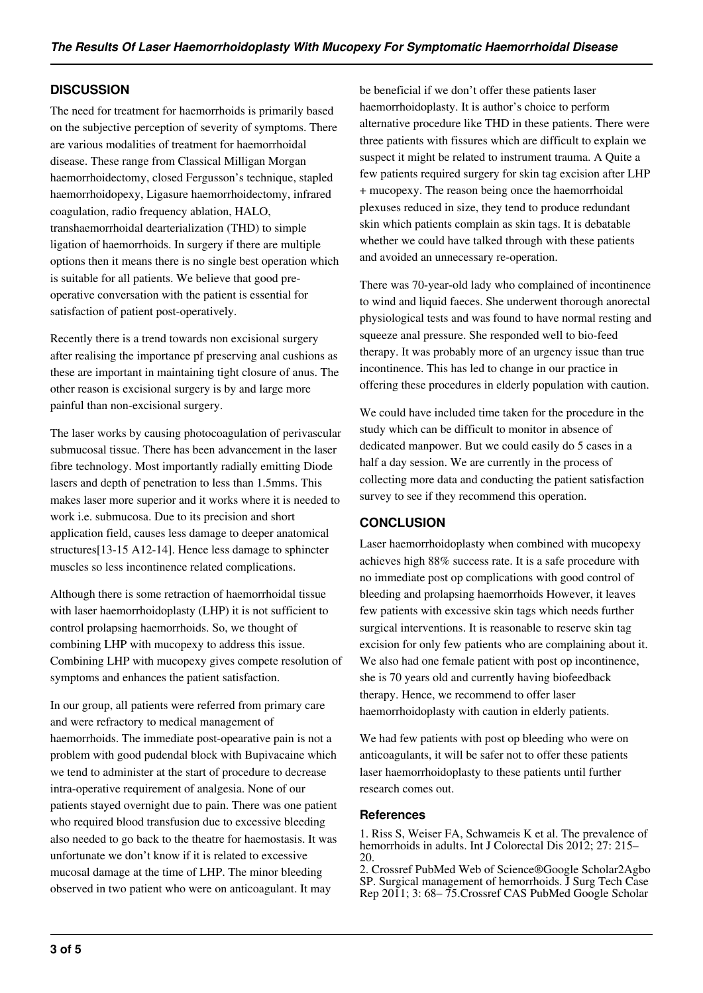# **DISCUSSION**

The need for treatment for haemorrhoids is primarily based on the subjective perception of severity of symptoms. There are various modalities of treatment for haemorrhoidal disease. These range from Classical Milligan Morgan haemorrhoidectomy, closed Fergusson's technique, stapled haemorrhoidopexy, Ligasure haemorrhoidectomy, infrared coagulation, radio frequency ablation, HALO, transhaemorrhoidal dearterialization (THD) to simple ligation of haemorrhoids. In surgery if there are multiple options then it means there is no single best operation which is suitable for all patients. We believe that good preoperative conversation with the patient is essential for satisfaction of patient post-operatively.

Recently there is a trend towards non excisional surgery after realising the importance pf preserving anal cushions as these are important in maintaining tight closure of anus. The other reason is excisional surgery is by and large more painful than non-excisional surgery.

The laser works by causing photocoagulation of perivascular submucosal tissue. There has been advancement in the laser fibre technology. Most importantly radially emitting Diode lasers and depth of penetration to less than 1.5mms. This makes laser more superior and it works where it is needed to work i.e. submucosa. Due to its precision and short application field, causes less damage to deeper anatomical structures[13-15 A12-14]. Hence less damage to sphincter muscles so less incontinence related complications.

Although there is some retraction of haemorrhoidal tissue with laser haemorrhoidoplasty (LHP) it is not sufficient to control prolapsing haemorrhoids. So, we thought of combining LHP with mucopexy to address this issue. Combining LHP with mucopexy gives compete resolution of symptoms and enhances the patient satisfaction.

In our group, all patients were referred from primary care and were refractory to medical management of haemorrhoids. The immediate post-opearative pain is not a problem with good pudendal block with Bupivacaine which we tend to administer at the start of procedure to decrease intra-operative requirement of analgesia. None of our patients stayed overnight due to pain. There was one patient who required blood transfusion due to excessive bleeding also needed to go back to the theatre for haemostasis. It was unfortunate we don't know if it is related to excessive mucosal damage at the time of LHP. The minor bleeding observed in two patient who were on anticoagulant. It may

be beneficial if we don't offer these patients laser haemorrhoidoplasty. It is author's choice to perform alternative procedure like THD in these patients. There were three patients with fissures which are difficult to explain we suspect it might be related to instrument trauma. A Quite a few patients required surgery for skin tag excision after LHP + mucopexy. The reason being once the haemorrhoidal plexuses reduced in size, they tend to produce redundant skin which patients complain as skin tags. It is debatable whether we could have talked through with these patients and avoided an unnecessary re-operation.

There was 70-year-old lady who complained of incontinence to wind and liquid faeces. She underwent thorough anorectal physiological tests and was found to have normal resting and squeeze anal pressure. She responded well to bio-feed therapy. It was probably more of an urgency issue than true incontinence. This has led to change in our practice in offering these procedures in elderly population with caution.

We could have included time taken for the procedure in the study which can be difficult to monitor in absence of dedicated manpower. But we could easily do 5 cases in a half a day session. We are currently in the process of collecting more data and conducting the patient satisfaction survey to see if they recommend this operation.

# **CONCLUSION**

Laser haemorrhoidoplasty when combined with mucopexy achieves high 88% success rate. It is a safe procedure with no immediate post op complications with good control of bleeding and prolapsing haemorrhoids However, it leaves few patients with excessive skin tags which needs further surgical interventions. It is reasonable to reserve skin tag excision for only few patients who are complaining about it. We also had one female patient with post op incontinence, she is 70 years old and currently having biofeedback therapy. Hence, we recommend to offer laser haemorrhoidoplasty with caution in elderly patients.

We had few patients with post op bleeding who were on anticoagulants, it will be safer not to offer these patients laser haemorrhoidoplasty to these patients until further research comes out.

## **References**

1. Riss S, Weiser FA, Schwameis K et al. The prevalence of hemorrhoids in adults. Int J Colorectal Dis 2012; 27: 215– 20.

2. Crossref PubMed Web of Science®Google Scholar2Agbo SP. Surgical management of hemorrhoids. J Surg Tech Case Rep 2011; 3: 68– 75.Crossref CAS PubMed Google Scholar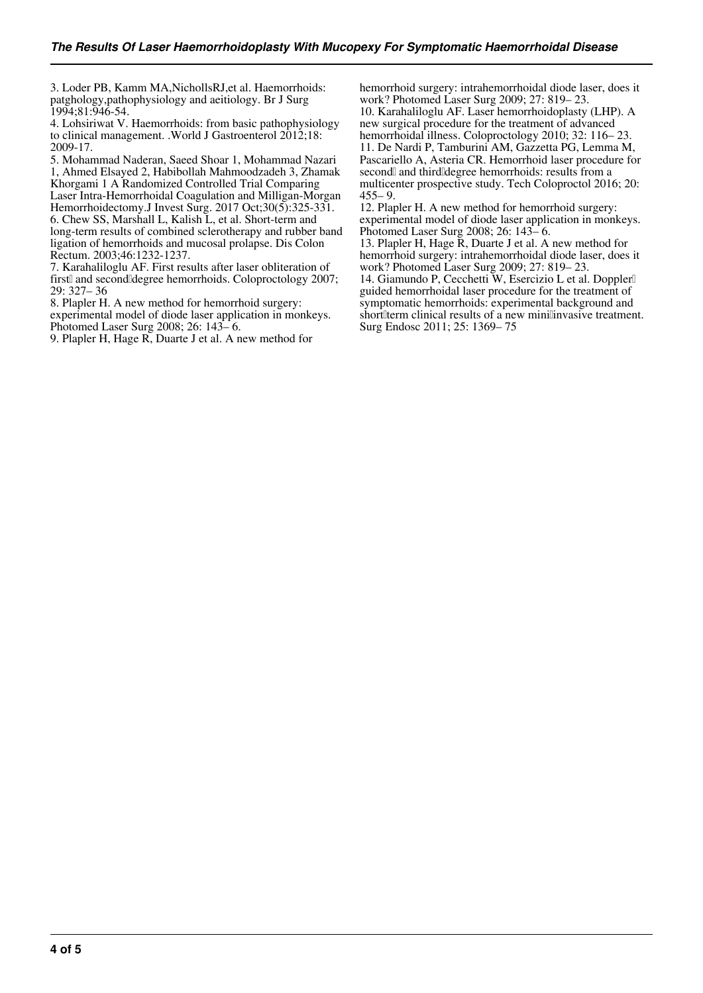3. Loder PB, Kamm MA,NichollsRJ,et al. Haemorrhoids: patghology,pathophysiology and aeitiology. Br J Surg 1994;81:946-54.

4. Lohsiriwat V. Haemorrhoids: from basic pathophysiology to clinical management. .World J Gastroenterol 2012;18: 2009-17.

5. Mohammad Naderan, Saeed Shoar 1, Mohammad Nazari 1, Ahmed Elsayed 2, Habibollah Mahmoodzadeh 3, Zhamak Khorgami 1 A Randomized Controlled Trial Comparing Laser Intra-Hemorrhoidal Coagulation and Milligan-Morgan Hemorrhoidectomy.J Invest Surg. 2017 Oct;30(5):325-331. 6. Chew SS, Marshall L, Kalish L, et al. Short-term and long-term results of combined sclerotherapy and rubber band ligation of hemorrhoids and mucosal prolapse. Dis Colon Rectum. 2003;46:1232-1237.

7. Karahaliloglu AF. First results after laser obliteration of first and second degree hemorrhoids. Coloproctology 2007; 29: 327– 36

8. Plapler H. A new method for hemorrhoid surgery:

experimental model of diode laser application in monkeys. Photomed Laser Surg 2008; 26: 143– 6.

9. Plapler H, Hage R, Duarte J et al. A new method for

hemorrhoid surgery: intrahemorrhoidal diode laser, does it work? Photomed Laser Surg 2009; 27: 819– 23.

10. Karahaliloglu AF. Laser hemorrhoidoplasty (LHP). A new surgical procedure for the treatment of advanced hemorrhoidal illness. Coloproctology 2010; 32: 116– 23. 11. De Nardi P, Tamburini AM, Gazzetta PG, Lemma M, Pascariello A, Asteria CR. Hemorrhoid laser procedure for second and third degree hemorrhoids: results from a multicenter prospective study. Tech Coloproctol 2016; 20:  $455 - 9$ .

12. Plapler H. A new method for hemorrhoid surgery: experimental model of diode laser application in monkeys. Photomed Laser Surg 2008; 26: 143– 6.

13. Plapler H, Hage R, Duarte J et al. A new method for hemorrhoid surgery: intrahemorrhoidal diode laser, does it work? Photomed Laser Surg 2009; 27: 819– 23.

14. Giamundo P, Cecchetti W, Esercizio L et al. Doppler<sup>[]</sup> guided hemorrhoidal laser procedure for the treatment of symptomatic hemorrhoids: experimental background and shortlerm clinical results of a new minilinvasive treatment. Surg Endosc 2011; 25: 1369– 75